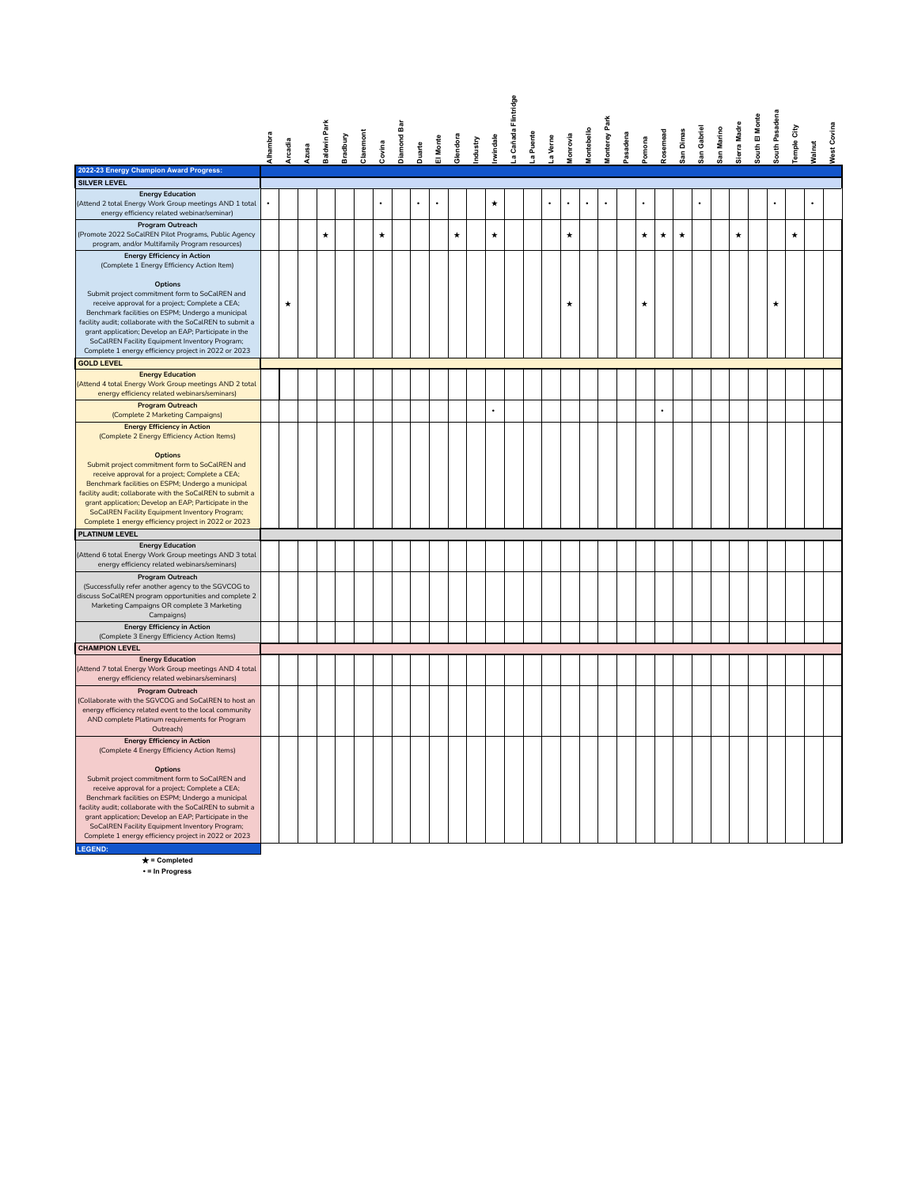|                                                                                                                    |           |                |       |              |          |          |                      |            |           |         |          |          |                      | a Cañada Flintridge |        |           |                      |                      |                      |          |                      |                      |           |                      |            |             |                |                      |            |               |                    |
|--------------------------------------------------------------------------------------------------------------------|-----------|----------------|-------|--------------|----------|----------|----------------------|------------|-----------|---------|----------|----------|----------------------|---------------------|--------|-----------|----------------------|----------------------|----------------------|----------|----------------------|----------------------|-----------|----------------------|------------|-------------|----------------|----------------------|------------|---------------|--------------------|
|                                                                                                                    |           |                |       |              |          |          |                      |            |           |         |          |          |                      |                     |        |           |                      |                      | Park                 |          |                      |                      |           |                      |            |             |                |                      |            |               |                    |
|                                                                                                                    | Alhambra  | <b>Arcadia</b> |       | Baldwin Park | Bradbury | laremont |                      | Diamond Ba |           | Monte   | Glendora | ridustry | windale              |                     | Puente | a Verne   | lonrovia             | <b>Montebello</b>    | Vlonterey            | Pasadena | omona                | osemead              | San Dimas | San Gabriel          | San Marino | ierra Madre | South El Monte | South Pasadena       | emple City |               | <b>Nest Covina</b> |
|                                                                                                                    |           |                | Azusa |              |          |          | Covina               |            | Duarte    |         |          |          |                      |                     |        |           |                      |                      |                      |          |                      |                      |           |                      |            |             |                |                      |            | <b>Nalnut</b> |                    |
| 2022-23 Energy Champion Award Progress:                                                                            |           |                |       |              |          |          |                      |            |           |         |          |          |                      |                     |        |           |                      |                      |                      |          |                      |                      |           |                      |            |             |                |                      |            |               |                    |
| <b>SILVER LEVEL</b>                                                                                                |           |                |       |              |          |          |                      |            |           |         |          |          |                      |                     |        |           |                      |                      |                      |          |                      |                      |           |                      |            |             |                |                      |            |               |                    |
| <b>Energy Education</b><br>(Attend 2 total Energy Work Group meetings AND 1 total                                  | $\bullet$ |                |       |              |          |          | $\ddot{\phantom{a}}$ |            | $\bullet$ | $\cdot$ |          |          | $\star$              |                     |        | $\bullet$ | $\ddot{\phantom{0}}$ | $\ddot{\phantom{0}}$ | $\ddot{\phantom{a}}$ |          | $\ddot{\phantom{0}}$ |                      |           | $\ddot{\phantom{0}}$ |            |             |                | $\ddot{\phantom{0}}$ |            |               |                    |
| energy efficiency related webinar/seminar)                                                                         |           |                |       |              |          |          |                      |            |           |         |          |          |                      |                     |        |           |                      |                      |                      |          |                      |                      |           |                      |            |             |                |                      |            |               |                    |
| Program Outreach<br>(Promote 2022 SoCalREN Pilot Programs, Public Agency                                           |           |                |       | $\star$      |          |          | $\star$              |            |           |         | $\star$  |          | $\star$              |                     |        |           | $\star$              |                      |                      |          | $\star$              | $\star$              | $\star$   |                      |            | $\star$     |                |                      | $\star$    |               |                    |
| program, and/or Multifamily Program resources)<br><b>Energy Efficiency in Action</b>                               |           |                |       |              |          |          |                      |            |           |         |          |          |                      |                     |        |           |                      |                      |                      |          |                      |                      |           |                      |            |             |                |                      |            |               |                    |
| (Complete 1 Energy Efficiency Action Item)                                                                         |           |                |       |              |          |          |                      |            |           |         |          |          |                      |                     |        |           |                      |                      |                      |          |                      |                      |           |                      |            |             |                |                      |            |               |                    |
| Options                                                                                                            |           |                |       |              |          |          |                      |            |           |         |          |          |                      |                     |        |           |                      |                      |                      |          |                      |                      |           |                      |            |             |                |                      |            |               |                    |
| Submit project commitment form to SoCalREN and<br>receive approval for a project; Complete a CEA;                  |           | $\star$        |       |              |          |          |                      |            |           |         |          |          |                      |                     |        |           | *                    |                      |                      |          | $\star$              |                      |           |                      |            |             |                | ۰                    |            |               |                    |
| Benchmark facilities on ESPM; Undergo a municipal                                                                  |           |                |       |              |          |          |                      |            |           |         |          |          |                      |                     |        |           |                      |                      |                      |          |                      |                      |           |                      |            |             |                |                      |            |               |                    |
| facility audit; collaborate with the SoCalREN to submit a                                                          |           |                |       |              |          |          |                      |            |           |         |          |          |                      |                     |        |           |                      |                      |                      |          |                      |                      |           |                      |            |             |                |                      |            |               |                    |
| grant application; Develop an EAP; Participate in the                                                              |           |                |       |              |          |          |                      |            |           |         |          |          |                      |                     |        |           |                      |                      |                      |          |                      |                      |           |                      |            |             |                |                      |            |               |                    |
| SoCalREN Facility Equipment Inventory Program;<br>Complete 1 energy efficiency project in 2022 or 2023             |           |                |       |              |          |          |                      |            |           |         |          |          |                      |                     |        |           |                      |                      |                      |          |                      |                      |           |                      |            |             |                |                      |            |               |                    |
| <b>GOLD LEVEL</b>                                                                                                  |           |                |       |              |          |          |                      |            |           |         |          |          |                      |                     |        |           |                      |                      |                      |          |                      |                      |           |                      |            |             |                |                      |            |               |                    |
| <b>Energy Education</b>                                                                                            |           |                |       |              |          |          |                      |            |           |         |          |          |                      |                     |        |           |                      |                      |                      |          |                      |                      |           |                      |            |             |                |                      |            |               |                    |
| (Attend 4 total Energy Work Group meetings AND 2 total                                                             |           |                |       |              |          |          |                      |            |           |         |          |          |                      |                     |        |           |                      |                      |                      |          |                      |                      |           |                      |            |             |                |                      |            |               |                    |
| energy efficiency related webinars/seminars)<br>Program Outreach                                                   |           |                |       |              |          |          |                      |            |           |         |          |          |                      |                     |        |           |                      |                      |                      |          |                      |                      |           |                      |            |             |                |                      |            |               |                    |
| (Complete 2 Marketing Campaigns)                                                                                   |           |                |       |              |          |          |                      |            |           |         |          |          | $\ddot{\phantom{0}}$ |                     |        |           |                      |                      |                      |          |                      | $\ddot{\phantom{a}}$ |           |                      |            |             |                |                      |            |               |                    |
| <b>Energy Efficiency in Action</b><br>(Complete 2 Energy Efficiency Action Items)                                  |           |                |       |              |          |          |                      |            |           |         |          |          |                      |                     |        |           |                      |                      |                      |          |                      |                      |           |                      |            |             |                |                      |            |               |                    |
| <b>Options</b>                                                                                                     |           |                |       |              |          |          |                      |            |           |         |          |          |                      |                     |        |           |                      |                      |                      |          |                      |                      |           |                      |            |             |                |                      |            |               |                    |
| Submit project commitment form to SoCalREN and                                                                     |           |                |       |              |          |          |                      |            |           |         |          |          |                      |                     |        |           |                      |                      |                      |          |                      |                      |           |                      |            |             |                |                      |            |               |                    |
| receive approval for a project; Complete a CEA;                                                                    |           |                |       |              |          |          |                      |            |           |         |          |          |                      |                     |        |           |                      |                      |                      |          |                      |                      |           |                      |            |             |                |                      |            |               |                    |
| Benchmark facilities on ESPM; Undergo a municipal                                                                  |           |                |       |              |          |          |                      |            |           |         |          |          |                      |                     |        |           |                      |                      |                      |          |                      |                      |           |                      |            |             |                |                      |            |               |                    |
| facility audit; collaborate with the SoCalREN to submit a<br>grant application; Develop an EAP; Participate in the |           |                |       |              |          |          |                      |            |           |         |          |          |                      |                     |        |           |                      |                      |                      |          |                      |                      |           |                      |            |             |                |                      |            |               |                    |
| SoCalREN Facility Equipment Inventory Program;                                                                     |           |                |       |              |          |          |                      |            |           |         |          |          |                      |                     |        |           |                      |                      |                      |          |                      |                      |           |                      |            |             |                |                      |            |               |                    |
| Complete 1 energy efficiency project in 2022 or 2023                                                               |           |                |       |              |          |          |                      |            |           |         |          |          |                      |                     |        |           |                      |                      |                      |          |                      |                      |           |                      |            |             |                |                      |            |               |                    |
| <b>PLATINUM LEVEL</b>                                                                                              |           |                |       |              |          |          |                      |            |           |         |          |          |                      |                     |        |           |                      |                      |                      |          |                      |                      |           |                      |            |             |                |                      |            |               |                    |
| <b>Energy Education</b>                                                                                            |           |                |       |              |          |          |                      |            |           |         |          |          |                      |                     |        |           |                      |                      |                      |          |                      |                      |           |                      |            |             |                |                      |            |               |                    |
| (Attend 6 total Energy Work Group meetings AND 3 total                                                             |           |                |       |              |          |          |                      |            |           |         |          |          |                      |                     |        |           |                      |                      |                      |          |                      |                      |           |                      |            |             |                |                      |            |               |                    |
| energy efficiency related webinars/seminars)                                                                       |           |                |       |              |          |          |                      |            |           |         |          |          |                      |                     |        |           |                      |                      |                      |          |                      |                      |           |                      |            |             |                |                      |            |               |                    |
| Program Outreach<br>(Successfully refer another agency to the SGVCOG to                                            |           |                |       |              |          |          |                      |            |           |         |          |          |                      |                     |        |           |                      |                      |                      |          |                      |                      |           |                      |            |             |                |                      |            |               |                    |
| discuss SoCalREN program opportunities and complete 2                                                              |           |                |       |              |          |          |                      |            |           |         |          |          |                      |                     |        |           |                      |                      |                      |          |                      |                      |           |                      |            |             |                |                      |            |               |                    |
| Marketing Campaigns OR complete 3 Marketing                                                                        |           |                |       |              |          |          |                      |            |           |         |          |          |                      |                     |        |           |                      |                      |                      |          |                      |                      |           |                      |            |             |                |                      |            |               |                    |
| Campaigns)                                                                                                         |           |                |       |              |          |          |                      |            |           |         |          |          |                      |                     |        |           |                      |                      |                      |          |                      |                      |           |                      |            |             |                |                      |            |               |                    |
| <b>Energy Efficiency in Action</b><br>(Complete 3 Energy Efficiency Action Items)                                  |           |                |       |              |          |          |                      |            |           |         |          |          |                      |                     |        |           |                      |                      |                      |          |                      |                      |           |                      |            |             |                |                      |            |               |                    |
| <b>CHAMPION LEVEL</b>                                                                                              |           |                |       |              |          |          |                      |            |           |         |          |          |                      |                     |        |           |                      |                      |                      |          |                      |                      |           |                      |            |             |                |                      |            |               |                    |
| <b>Energy Education</b>                                                                                            |           |                |       |              |          |          |                      |            |           |         |          |          |                      |                     |        |           |                      |                      |                      |          |                      |                      |           |                      |            |             |                |                      |            |               |                    |
| (Attend 7 total Energy Work Group meetings AND 4 total<br>energy efficiency related webinars/seminars)             |           |                |       |              |          |          |                      |            |           |         |          |          |                      |                     |        |           |                      |                      |                      |          |                      |                      |           |                      |            |             |                |                      |            |               |                    |
| Program Outreach                                                                                                   |           |                |       |              |          |          |                      |            |           |         |          |          |                      |                     |        |           |                      |                      |                      |          |                      |                      |           |                      |            |             |                |                      |            |               |                    |
| (Collaborate with the SGVCOG and SoCalREN to host an<br>energy efficiency related event to the local community     |           |                |       |              |          |          |                      |            |           |         |          |          |                      |                     |        |           |                      |                      |                      |          |                      |                      |           |                      |            |             |                |                      |            |               |                    |
| AND complete Platinum requirements for Program                                                                     |           |                |       |              |          |          |                      |            |           |         |          |          |                      |                     |        |           |                      |                      |                      |          |                      |                      |           |                      |            |             |                |                      |            |               |                    |
| Outreach)                                                                                                          |           |                |       |              |          |          |                      |            |           |         |          |          |                      |                     |        |           |                      |                      |                      |          |                      |                      |           |                      |            |             |                |                      |            |               |                    |
| <b>Energy Efficiency in Action</b><br>(Complete 4 Energy Efficiency Action Items)                                  |           |                |       |              |          |          |                      |            |           |         |          |          |                      |                     |        |           |                      |                      |                      |          |                      |                      |           |                      |            |             |                |                      |            |               |                    |
|                                                                                                                    |           |                |       |              |          |          |                      |            |           |         |          |          |                      |                     |        |           |                      |                      |                      |          |                      |                      |           |                      |            |             |                |                      |            |               |                    |
| Options                                                                                                            |           |                |       |              |          |          |                      |            |           |         |          |          |                      |                     |        |           |                      |                      |                      |          |                      |                      |           |                      |            |             |                |                      |            |               |                    |
| Submit project commitment form to SoCalREN and                                                                     |           |                |       |              |          |          |                      |            |           |         |          |          |                      |                     |        |           |                      |                      |                      |          |                      |                      |           |                      |            |             |                |                      |            |               |                    |
| receive approval for a project; Complete a CEA;<br>Benchmark facilities on ESPM; Undergo a municipal               |           |                |       |              |          |          |                      |            |           |         |          |          |                      |                     |        |           |                      |                      |                      |          |                      |                      |           |                      |            |             |                |                      |            |               |                    |
| facility audit; collaborate with the SoCalREN to submit a                                                          |           |                |       |              |          |          |                      |            |           |         |          |          |                      |                     |        |           |                      |                      |                      |          |                      |                      |           |                      |            |             |                |                      |            |               |                    |
| grant application; Develop an EAP; Participate in the                                                              |           |                |       |              |          |          |                      |            |           |         |          |          |                      |                     |        |           |                      |                      |                      |          |                      |                      |           |                      |            |             |                |                      |            |               |                    |
| SoCalREN Facility Equipment Inventory Program;                                                                     |           |                |       |              |          |          |                      |            |           |         |          |          |                      |                     |        |           |                      |                      |                      |          |                      |                      |           |                      |            |             |                |                      |            |               |                    |
| Complete 1 energy efficiency project in 2022 or 2023                                                               |           |                |       |              |          |          |                      |            |           |         |          |          |                      |                     |        |           |                      |                      |                      |          |                      |                      |           |                      |            |             |                |                      |            |               |                    |
| <b>LEGEND:</b>                                                                                                     |           |                |       |              |          |          |                      |            |           |         |          |          |                      |                     |        |           |                      |                      |                      |          |                      |                      |           |                      |            |             |                |                      |            |               |                    |

★ **= Completed • = In Progress**